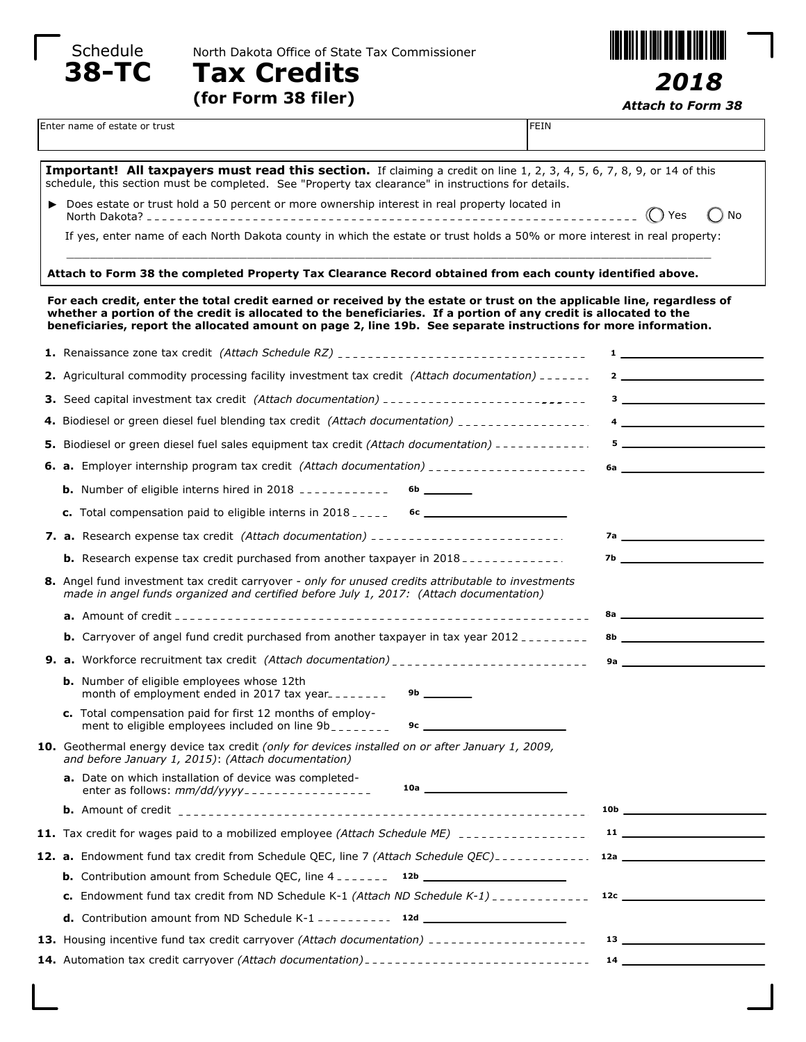

Schedule Morth Dakota Office of State Tax Commissioner



**(for Form 38 filer)**



*Attach to Form 38*

*2018*

|                                                                                                                                                                                                                                                                                                                                                                 | Enter name of estate or trust<br><b>FEIN</b>                                                                                                                                                                                  |                                                                                                                                                                                                                                                                                                                                                                                                                                                                       |  |  |
|-----------------------------------------------------------------------------------------------------------------------------------------------------------------------------------------------------------------------------------------------------------------------------------------------------------------------------------------------------------------|-------------------------------------------------------------------------------------------------------------------------------------------------------------------------------------------------------------------------------|-----------------------------------------------------------------------------------------------------------------------------------------------------------------------------------------------------------------------------------------------------------------------------------------------------------------------------------------------------------------------------------------------------------------------------------------------------------------------|--|--|
|                                                                                                                                                                                                                                                                                                                                                                 |                                                                                                                                                                                                                               |                                                                                                                                                                                                                                                                                                                                                                                                                                                                       |  |  |
|                                                                                                                                                                                                                                                                                                                                                                 | Important! All taxpayers must read this section. If claiming a credit on line 1, 2, 3, 4, 5, 6, 7, 8, 9, or 14 of this<br>schedule, this section must be completed. See "Property tax clearance" in instructions for details. |                                                                                                                                                                                                                                                                                                                                                                                                                                                                       |  |  |
|                                                                                                                                                                                                                                                                                                                                                                 | ▶ Does estate or trust hold a 50 percent or more ownership interest in real property located in                                                                                                                               | (C) Yes<br>No                                                                                                                                                                                                                                                                                                                                                                                                                                                         |  |  |
|                                                                                                                                                                                                                                                                                                                                                                 | If yes, enter name of each North Dakota county in which the estate or trust holds a 50% or more interest in real property:                                                                                                    |                                                                                                                                                                                                                                                                                                                                                                                                                                                                       |  |  |
|                                                                                                                                                                                                                                                                                                                                                                 | Attach to Form 38 the completed Property Tax Clearance Record obtained from each county identified above.                                                                                                                     |                                                                                                                                                                                                                                                                                                                                                                                                                                                                       |  |  |
| For each credit, enter the total credit earned or received by the estate or trust on the applicable line, regardless of<br>whether a portion of the credit is allocated to the beneficiaries. If a portion of any credit is allocated to the<br>beneficiaries, report the allocated amount on page 2, line 19b. See separate instructions for more information. |                                                                                                                                                                                                                               |                                                                                                                                                                                                                                                                                                                                                                                                                                                                       |  |  |
|                                                                                                                                                                                                                                                                                                                                                                 | 1. Renaissance zone tax credit (Attach Schedule RZ) _________________________________                                                                                                                                         | $\mathbf{1}$ and the set of the set of the set of the set of the set of the set of the set of the set of the set of the set of the set of the set of the set of the set of the set of the set of the set of the set of the set of                                                                                                                                                                                                                                     |  |  |
|                                                                                                                                                                                                                                                                                                                                                                 | 2. Agricultural commodity processing facility investment tax credit (Attach documentation) _______                                                                                                                            | $2 \overline{\phantom{a}}$                                                                                                                                                                                                                                                                                                                                                                                                                                            |  |  |
|                                                                                                                                                                                                                                                                                                                                                                 | <b>3.</b> Seed capital investment tax credit (Attach documentation) ____________________________                                                                                                                              | $3$ $\overline{\phantom{a}}$ $\overline{\phantom{a}}$ $\overline{\phantom{a}}$ $\overline{\phantom{a}}$ $\overline{\phantom{a}}$ $\overline{\phantom{a}}$ $\overline{\phantom{a}}$ $\overline{\phantom{a}}$ $\overline{\phantom{a}}$ $\overline{\phantom{a}}$ $\overline{\phantom{a}}$ $\overline{\phantom{a}}$ $\overline{\phantom{a}}$ $\overline{\phantom{a}}$ $\overline{\phantom{a}}$ $\overline{\phantom{a}}$ $\overline{\phantom{a}}$ $\overline{\phantom{a}}$ |  |  |
|                                                                                                                                                                                                                                                                                                                                                                 | 4. Biodiesel or green diesel fuel blending tax credit (Attach documentation) _________________.                                                                                                                               | $\overline{4}$                                                                                                                                                                                                                                                                                                                                                                                                                                                        |  |  |
|                                                                                                                                                                                                                                                                                                                                                                 | 5. Biodiesel or green diesel fuel sales equipment tax credit (Attach documentation) -------------                                                                                                                             |                                                                                                                                                                                                                                                                                                                                                                                                                                                                       |  |  |
|                                                                                                                                                                                                                                                                                                                                                                 |                                                                                                                                                                                                                               |                                                                                                                                                                                                                                                                                                                                                                                                                                                                       |  |  |
|                                                                                                                                                                                                                                                                                                                                                                 | <b>b.</b> Number of eligible interns hired in 2018 ------------<br>$6b$ _________                                                                                                                                             |                                                                                                                                                                                                                                                                                                                                                                                                                                                                       |  |  |
|                                                                                                                                                                                                                                                                                                                                                                 |                                                                                                                                                                                                                               |                                                                                                                                                                                                                                                                                                                                                                                                                                                                       |  |  |
|                                                                                                                                                                                                                                                                                                                                                                 | 7. a. Research expense tax credit (Attach documentation) ________________________                                                                                                                                             |                                                                                                                                                                                                                                                                                                                                                                                                                                                                       |  |  |
|                                                                                                                                                                                                                                                                                                                                                                 | <b>b.</b> Research expense tax credit purchased from another taxpayer in $2018$                                                                                                                                               | 7b                                                                                                                                                                                                                                                                                                                                                                                                                                                                    |  |  |
|                                                                                                                                                                                                                                                                                                                                                                 | 8. Angel fund investment tax credit carryover - only for unused credits attributable to investments<br>made in angel funds organized and certified before July 1, 2017: (Attach documentation)                                |                                                                                                                                                                                                                                                                                                                                                                                                                                                                       |  |  |
|                                                                                                                                                                                                                                                                                                                                                                 |                                                                                                                                                                                                                               |                                                                                                                                                                                                                                                                                                                                                                                                                                                                       |  |  |
|                                                                                                                                                                                                                                                                                                                                                                 | <b>b.</b> Carryover of angel fund credit purchased from another taxpayer in tax year 2012                                                                                                                                     |                                                                                                                                                                                                                                                                                                                                                                                                                                                                       |  |  |
|                                                                                                                                                                                                                                                                                                                                                                 | 9. a. Workforce recruitment tax credit (Attach documentation) _________________________                                                                                                                                       |                                                                                                                                                                                                                                                                                                                                                                                                                                                                       |  |  |
|                                                                                                                                                                                                                                                                                                                                                                 | <b>b.</b> Number of eligible employees whose 12th<br>month of employment ended in 2017 tax year________                                                                                                                       |                                                                                                                                                                                                                                                                                                                                                                                                                                                                       |  |  |
|                                                                                                                                                                                                                                                                                                                                                                 | c. Total compensation paid for first 12 months of employ-<br>ment to eligible employees included on line 9b<br>9c $\sim$ $\sim$ $\sim$ $\sim$                                                                                 |                                                                                                                                                                                                                                                                                                                                                                                                                                                                       |  |  |
|                                                                                                                                                                                                                                                                                                                                                                 | 10. Geothermal energy device tax credit (only for devices installed on or after January 1, 2009,<br>and before January 1, 2015): (Attach documentation)                                                                       |                                                                                                                                                                                                                                                                                                                                                                                                                                                                       |  |  |
|                                                                                                                                                                                                                                                                                                                                                                 | a. Date on which installation of device was completed-<br>enter as follows: mm/dd/yyyy----------------- 10a ______________________________                                                                                    |                                                                                                                                                                                                                                                                                                                                                                                                                                                                       |  |  |
|                                                                                                                                                                                                                                                                                                                                                                 |                                                                                                                                                                                                                               | 10b                                                                                                                                                                                                                                                                                                                                                                                                                                                                   |  |  |
|                                                                                                                                                                                                                                                                                                                                                                 | <b>11.</b> Tax credit for wages paid to a mobilized employee (Attach Schedule ME) -----------------                                                                                                                           | $11 \quad \overline{\quad}$                                                                                                                                                                                                                                                                                                                                                                                                                                           |  |  |
|                                                                                                                                                                                                                                                                                                                                                                 |                                                                                                                                                                                                                               |                                                                                                                                                                                                                                                                                                                                                                                                                                                                       |  |  |
|                                                                                                                                                                                                                                                                                                                                                                 |                                                                                                                                                                                                                               |                                                                                                                                                                                                                                                                                                                                                                                                                                                                       |  |  |
|                                                                                                                                                                                                                                                                                                                                                                 | <b>c.</b> Endowment fund tax credit from ND Schedule K-1 (Attach ND Schedule K-1) $\frac{1}{2}$                                                                                                                               | 12c                                                                                                                                                                                                                                                                                                                                                                                                                                                                   |  |  |
|                                                                                                                                                                                                                                                                                                                                                                 |                                                                                                                                                                                                                               |                                                                                                                                                                                                                                                                                                                                                                                                                                                                       |  |  |
|                                                                                                                                                                                                                                                                                                                                                                 | <b>13.</b> Housing incentive fund tax credit carryover (Attach documentation) _____________________                                                                                                                           |                                                                                                                                                                                                                                                                                                                                                                                                                                                                       |  |  |
|                                                                                                                                                                                                                                                                                                                                                                 |                                                                                                                                                                                                                               |                                                                                                                                                                                                                                                                                                                                                                                                                                                                       |  |  |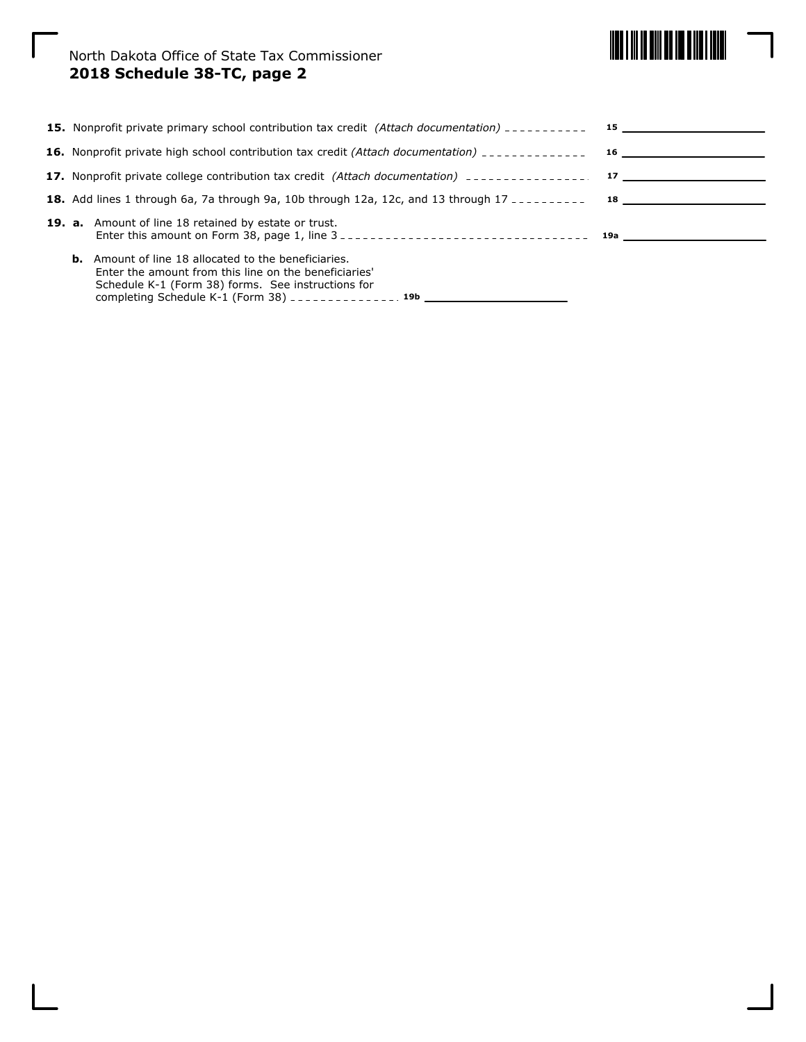

North Dakota Office of State Tax Commissioner **2018 Schedule 38-TC, page 2**

| <b>15.</b> Nonprofit private primary school contribution tax credit (Attach documentation) $\frac{1}{2}$                                                                                                                                                                           |  |
|------------------------------------------------------------------------------------------------------------------------------------------------------------------------------------------------------------------------------------------------------------------------------------|--|
|                                                                                                                                                                                                                                                                                    |  |
| 17. Nonprofit private college contribution tax credit (Attach documentation) _________________________________                                                                                                                                                                     |  |
| <b>18.</b> Add lines 1 through 6a, 7a through 9a, 10b through 12a, 12c, and 13 through 17 $\frac{1}{2}$ = $\frac{1}{2}$ = $\frac{1}{2}$ = $\frac{1}{2}$ = $\frac{1}{2}$ = $\frac{1}{2}$ = $\frac{1}{2}$ = $\frac{1}{2}$ = $\frac{1}{2}$ = $\frac{1}{2}$ = $\frac{1}{2}$ = $\frac{$ |  |
| <b>19. a.</b> Amount of line 18 retained by estate or trust.                                                                                                                                                                                                                       |  |
| <b>b.</b> Amount of line 18 allocated to the beneficiaries.<br>Enter the amount from this line on the beneficiaries'<br>Schedule K-1 (Form 38) forms. See instructions for<br>completing Schedule K-1 (Form 38) ______________ 19b                                                 |  |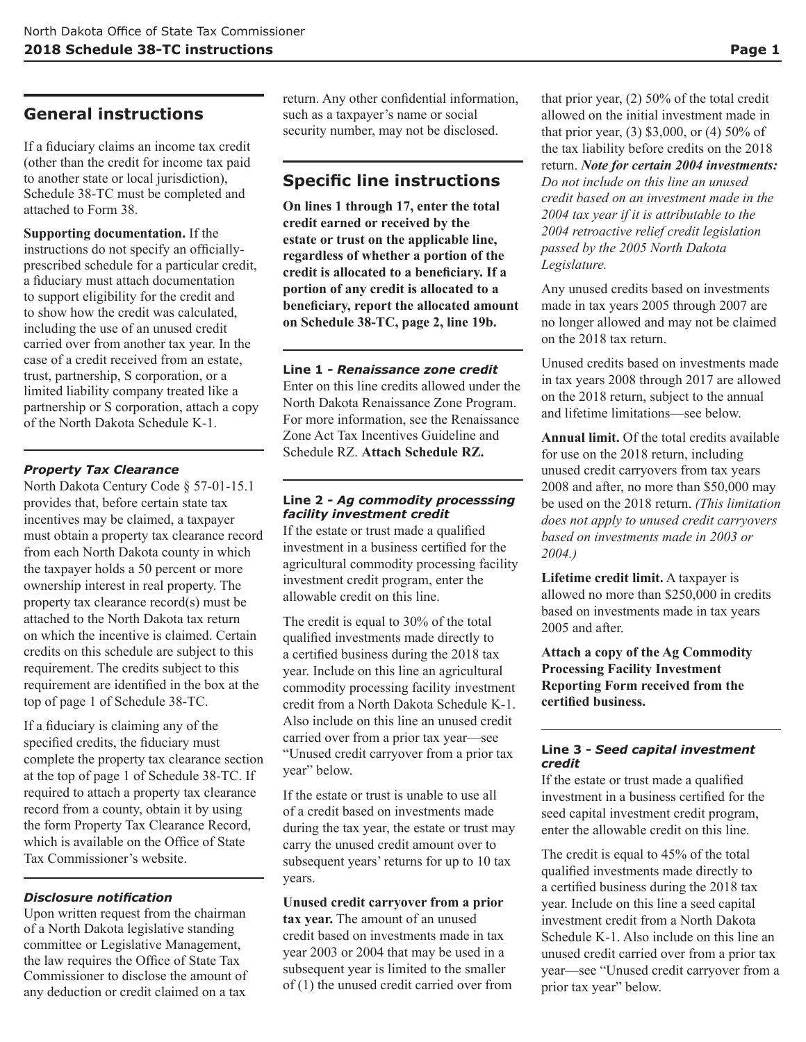# **General instructions**

If a fiduciary claims an income tax credit (other than the credit for income tax paid to another state or local jurisdiction), Schedule 38-TC must be completed and attached to Form 38.

**Supporting documentation.** If the instructions do not specify an officiallyprescribed schedule for a particular credit, a fiduciary must attach documentation to support eligibility for the credit and to show how the credit was calculated, including the use of an unused credit carried over from another tax year. In the case of a credit received from an estate, trust, partnership, S corporation, or a limited liability company treated like a partnership or S corporation, attach a copy of the North Dakota Schedule K-1.

### *Property Tax Clearance*

North Dakota Century Code § 57-01-15.1 provides that, before certain state tax incentives may be claimed, a taxpayer must obtain a property tax clearance record from each North Dakota county in which the taxpayer holds a 50 percent or more ownership interest in real property. The property tax clearance record(s) must be attached to the North Dakota tax return on which the incentive is claimed. Certain credits on this schedule are subject to this requirement. The credits subject to this requirement are identified in the box at the top of page 1 of Schedule 38-TC.

If a fiduciary is claiming any of the specified credits, the fiduciary must complete the property tax clearance section at the top of page 1 of Schedule 38-TC. If required to attach a property tax clearance record from a county, obtain it by using the form Property Tax Clearance Record, which is available on the Office of State Tax Commissioner's website.

### *Disclosure notification*

Upon written request from the chairman of a North Dakota legislative standing committee or Legislative Management, the law requires the Office of State Tax Commissioner to disclose the amount of any deduction or credit claimed on a tax

return. Any other confidential information, such as a taxpayer's name or social security number, may not be disclosed.

# **Specific line instructions**

**On lines 1 through 17, enter the total credit earned or received by the estate or trust on the applicable line, regardless of whether a portion of the credit is allocated to a beneficiary. If a portion of any credit is allocated to a beneficiary, report the allocated amount on Schedule 38-TC, page 2, line 19b.**

### **Line 1** *- Renaissance zone credit*

Enter on this line credits allowed under the North Dakota Renaissance Zone Program. For more information, see the Renaissance Zone Act Tax Incentives Guideline and Schedule RZ. **Attach Schedule RZ.**

### **Line 2** *- Ag commodity processsing facility investment credit*

If the estate or trust made a qualified investment in a business certified for the agricultural commodity processing facility investment credit program, enter the allowable credit on this line.

The credit is equal to 30% of the total qualified investments made directly to a certified business during the 2018 tax year. Include on this line an agricultural commodity processing facility investment credit from a North Dakota Schedule K-1. Also include on this line an unused credit carried over from a prior tax year—see "Unused credit carryover from a prior tax year" below.

If the estate or trust is unable to use all of a credit based on investments made during the tax year, the estate or trust may carry the unused credit amount over to subsequent years' returns for up to 10 tax years.

### **Unused credit carryover from a prior**

**tax year.** The amount of an unused credit based on investments made in tax year 2003 or 2004 that may be used in a subsequent year is limited to the smaller of (1) the unused credit carried over from

that prior year, (2) 50% of the total credit allowed on the initial investment made in that prior year,  $(3)$  \$3,000, or  $(4)$  50% of the tax liability before credits on the 2018 return. *Note for certain 2004 investments: Do not include on this line an unused credit based on an investment made in the 2004 tax year if it is attributable to the 2004 retroactive relief credit legislation passed by the 2005 North Dakota Legislature.*

Any unused credits based on investments made in tax years 2005 through 2007 are no longer allowed and may not be claimed on the 2018 tax return.

Unused credits based on investments made in tax years 2008 through 2017 are allowed on the 2018 return, subject to the annual and lifetime limitations—see below.

**Annual limit.** Of the total credits available for use on the 2018 return, including unused credit carryovers from tax years 2008 and after, no more than \$50,000 may be used on the 2018 return. *(This limitation does not apply to unused credit carryovers based on investments made in 2003 or 2004.)*

**Lifetime credit limit.** A taxpayer is allowed no more than \$250,000 in credits based on investments made in tax years 2005 and after.

**Attach a copy of the Ag Commodity Processing Facility Investment Reporting Form received from the certified business.**

#### **Line 3** *- Seed capital investment credit*

If the estate or trust made a qualified investment in a business certified for the seed capital investment credit program, enter the allowable credit on this line.

The credit is equal to 45% of the total qualified investments made directly to a certified business during the 2018 tax year. Include on this line a seed capital investment credit from a North Dakota Schedule K-1. Also include on this line an unused credit carried over from a prior tax year—see "Unused credit carryover from a prior tax year" below.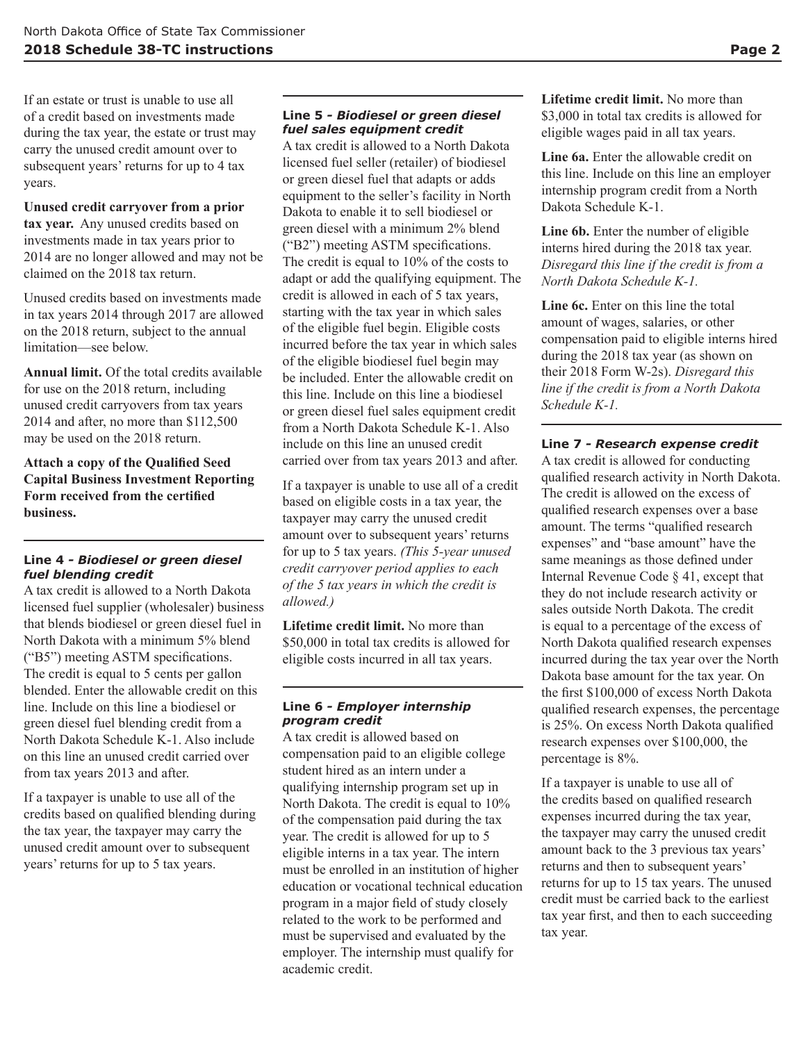If an estate or trust is unable to use all of a credit based on investments made during the tax year, the estate or trust may carry the unused credit amount over to subsequent years' returns for up to 4 tax years.

## **Unused credit carryover from a prior**

**tax year.** Any unused credits based on investments made in tax years prior to 2014 are no longer allowed and may not be claimed on the 2018 tax return.

Unused credits based on investments made in tax years 2014 through 2017 are allowed on the 2018 return, subject to the annual limitation—see below.

**Annual limit.** Of the total credits available for use on the 2018 return, including unused credit carryovers from tax years 2014 and after, no more than \$112,500 may be used on the 2018 return.

**Attach a copy of the Qualified Seed Capital Business Investment Reporting Form received from the certified business.**

#### **Line 4** *- Biodiesel or green diesel fuel blending credit*

A tax credit is allowed to a North Dakota licensed fuel supplier (wholesaler) business that blends biodiesel or green diesel fuel in North Dakota with a minimum 5% blend ("B5") meeting ASTM specifications. The credit is equal to 5 cents per gallon blended. Enter the allowable credit on this line. Include on this line a biodiesel or green diesel fuel blending credit from a North Dakota Schedule K-1. Also include on this line an unused credit carried over from tax years 2013 and after.

If a taxpayer is unable to use all of the credits based on qualified blending during the tax year, the taxpayer may carry the unused credit amount over to subsequent years' returns for up to 5 tax years.

#### **Line 5** *- Biodiesel or green diesel fuel sales equipment credit*

A tax credit is allowed to a North Dakota licensed fuel seller (retailer) of biodiesel or green diesel fuel that adapts or adds equipment to the seller's facility in North Dakota to enable it to sell biodiesel or green diesel with a minimum 2% blend ("B2") meeting ASTM specifications. The credit is equal to 10% of the costs to adapt or add the qualifying equipment. The credit is allowed in each of 5 tax years, starting with the tax year in which sales of the eligible fuel begin. Eligible costs incurred before the tax year in which sales of the eligible biodiesel fuel begin may be included. Enter the allowable credit on this line. Include on this line a biodiesel or green diesel fuel sales equipment credit from a North Dakota Schedule K-1. Also include on this line an unused credit carried over from tax years 2013 and after.

If a taxpayer is unable to use all of a credit based on eligible costs in a tax year, the taxpayer may carry the unused credit amount over to subsequent years' returns for up to 5 tax years. *(This 5-year unused credit carryover period applies to each of the 5 tax years in which the credit is allowed.)*

**Lifetime credit limit.** No more than \$50,000 in total tax credits is allowed for eligible costs incurred in all tax years.

#### **Line 6** *- Employer internship program credit*

A tax credit is allowed based on compensation paid to an eligible college student hired as an intern under a qualifying internship program set up in North Dakota. The credit is equal to 10% of the compensation paid during the tax year. The credit is allowed for up to 5 eligible interns in a tax year. The intern must be enrolled in an institution of higher education or vocational technical education program in a major field of study closely related to the work to be performed and must be supervised and evaluated by the employer. The internship must qualify for academic credit.

**Lifetime credit limit.** No more than \$3,000 in total tax credits is allowed for eligible wages paid in all tax years.

**Line 6a.** Enter the allowable credit on this line. Include on this line an employer internship program credit from a North Dakota Schedule K-1.

**Line 6b.** Enter the number of eligible interns hired during the 2018 tax year. *Disregard this line if the credit is from a North Dakota Schedule K-1.*

**Line 6c.** Enter on this line the total amount of wages, salaries, or other compensation paid to eligible interns hired during the 2018 tax year (as shown on their 2018 Form W-2s). *Disregard this line if the credit is from a North Dakota Schedule K-1.*

#### **Line 7** *- Research expense credit*

A tax credit is allowed for conducting qualified research activity in North Dakota. The credit is allowed on the excess of qualified research expenses over a base amount. The terms "qualified research expenses" and "base amount" have the same meanings as those defined under Internal Revenue Code § 41, except that they do not include research activity or sales outside North Dakota. The credit is equal to a percentage of the excess of North Dakota qualified research expenses incurred during the tax year over the North Dakota base amount for the tax year. On the first \$100,000 of excess North Dakota qualified research expenses, the percentage is 25%. On excess North Dakota qualified research expenses over \$100,000, the percentage is 8%.

If a taxpayer is unable to use all of the credits based on qualified research expenses incurred during the tax year, the taxpayer may carry the unused credit amount back to the 3 previous tax years' returns and then to subsequent years' returns for up to 15 tax years. The unused credit must be carried back to the earliest tax year first, and then to each succeeding tax year.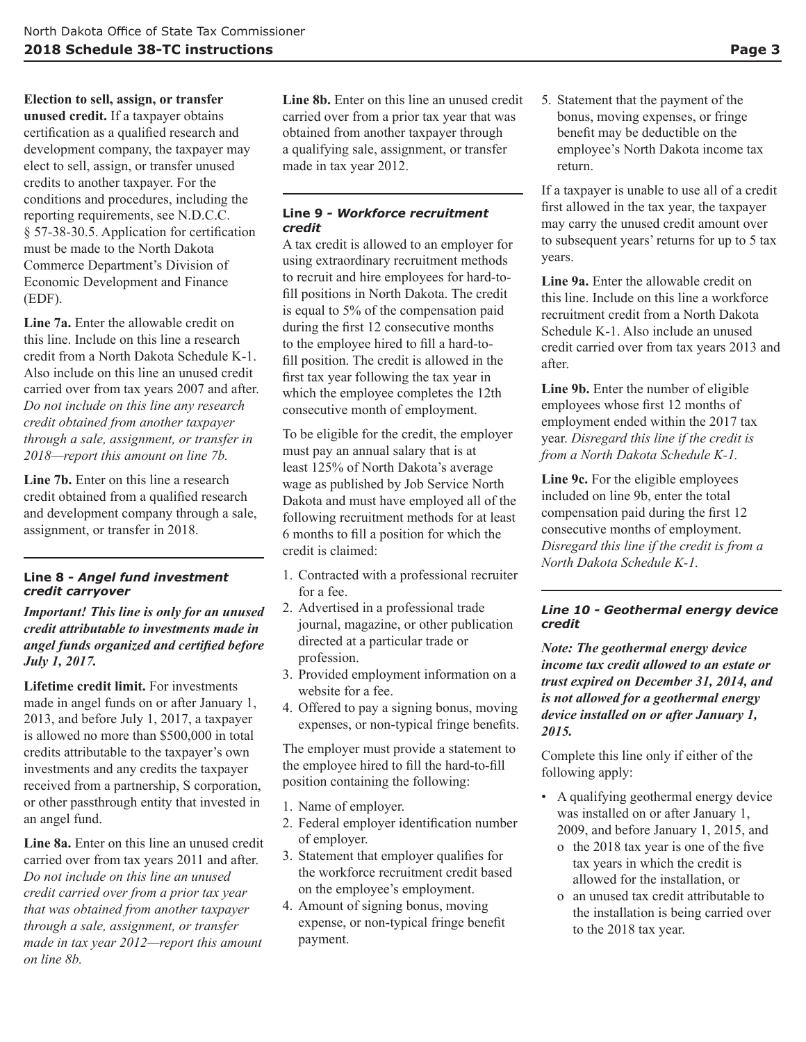**Election to sell, assign, or transfer unused credit.** If a taxpayer obtains certification as a qualified research and development company, the taxpayer may elect to sell, assign, or transfer unused credits to another taxpayer. For the conditions and procedures, including the reporting requirements, see N.D.C.C. § 57-38-30.5. Application for certification must be made to the North Dakota Commerce Department's Division of Economic Development and Finance (EDF).

**Line 7a.** Enter the allowable credit on this line. Include on this line a research credit from a North Dakota Schedule K-1. Also include on this line an unused credit carried over from tax years 2007 and after. *Do not include on this line any research credit obtained from another taxpayer through a sale, assignment, or transfer in 2018—report this amount on line 7b.*

**Line 7b.** Enter on this line a research credit obtained from a qualified research and development company through a sale, assignment, or transfer in 2018.

#### **Line 8 -** *Angel fund investment credit carryover*

*Important! This line is only for an unused credit attributable to investments made in angel funds organized and certified before July 1, 2017.*

**Lifetime credit limit.** For investments made in angel funds on or after January 1, 2013, and before July 1, 2017, a taxpayer is allowed no more than \$500,000 in total credits attributable to the taxpayer's own investments and any credits the taxpayer received from a partnership, S corporation, or other passthrough entity that invested in an angel fund.

**Line 8a.** Enter on this line an unused credit carried over from tax years 2011 and after. *Do not include on this line an unused credit carried over from a prior tax year that was obtained from another taxpayer through a sale, assignment, or transfer made in tax year 2012—report this amount on line 8b.*

**Line 8b.** Enter on this line an unused credit carried over from a prior tax year that was obtained from another taxpayer through a qualifying sale, assignment, or transfer made in tax year 2012.

#### **Line 9** *- Workforce recruitment credit*

A tax credit is allowed to an employer for using extraordinary recruitment methods to recruit and hire employees for hard-tofill positions in North Dakota. The credit is equal to 5% of the compensation paid during the first 12 consecutive months to the employee hired to fill a hard-tofill position. The credit is allowed in the first tax year following the tax year in which the employee completes the 12th consecutive month of employment.

To be eligible for the credit, the employer must pay an annual salary that is at least 125% of North Dakota's average wage as published by Job Service North Dakota and must have employed all of the following recruitment methods for at least 6 months to fill a position for which the credit is claimed:

- 1. Contracted with a professional recruiter for a fee.
- 2. Advertised in a professional trade journal, magazine, or other publication directed at a particular trade or profession.
- 3. Provided employment information on a website for a fee.
- 4. Offered to pay a signing bonus, moving expenses, or non-typical fringe benefits.

The employer must provide a statement to the employee hired to fill the hard-to-fill position containing the following:

- 1. Name of employer.
- 2. Federal employer identification number of employer.
- 3. Statement that employer qualifies for the workforce recruitment credit based on the employee's employment.
- 4. Amount of signing bonus, moving expense, or non-typical fringe benefit payment.

5. Statement that the payment of the bonus, moving expenses, or fringe benefit may be deductible on the employee's North Dakota income tax return.

If a taxpayer is unable to use all of a credit first allowed in the tax year, the taxpayer may carry the unused credit amount over to subsequent years' returns for up to 5 tax years.

**Line 9a.** Enter the allowable credit on this line. Include on this line a workforce recruitment credit from a North Dakota Schedule K-1. Also include an unused credit carried over from tax years 2013 and after.

**Line 9b.** Enter the number of eligible employees whose first 12 months of employment ended within the 2017 tax year. *Disregard this line if the credit is from a North Dakota Schedule K-1.*

**Line 9c.** For the eligible employees included on line 9b, enter the total compensation paid during the first 12 consecutive months of employment. *Disregard this line if the credit is from a North Dakota Schedule K-1.*

#### *Line 10 - Geothermal energy device credit*

*Note: The geothermal energy device income tax credit allowed to an estate or trust expired on December 31, 2014, and is not allowed for a geothermal energy device installed on or after January 1, 2015.*

Complete this line only if either of the following apply:

- A qualifying geothermal energy device was installed on or after January 1, 2009, and before January 1, 2015, and
	- o the 2018 tax year is one of the five tax years in which the credit is allowed for the installation, or
	- o an unused tax credit attributable to the installation is being carried over to the 2018 tax year.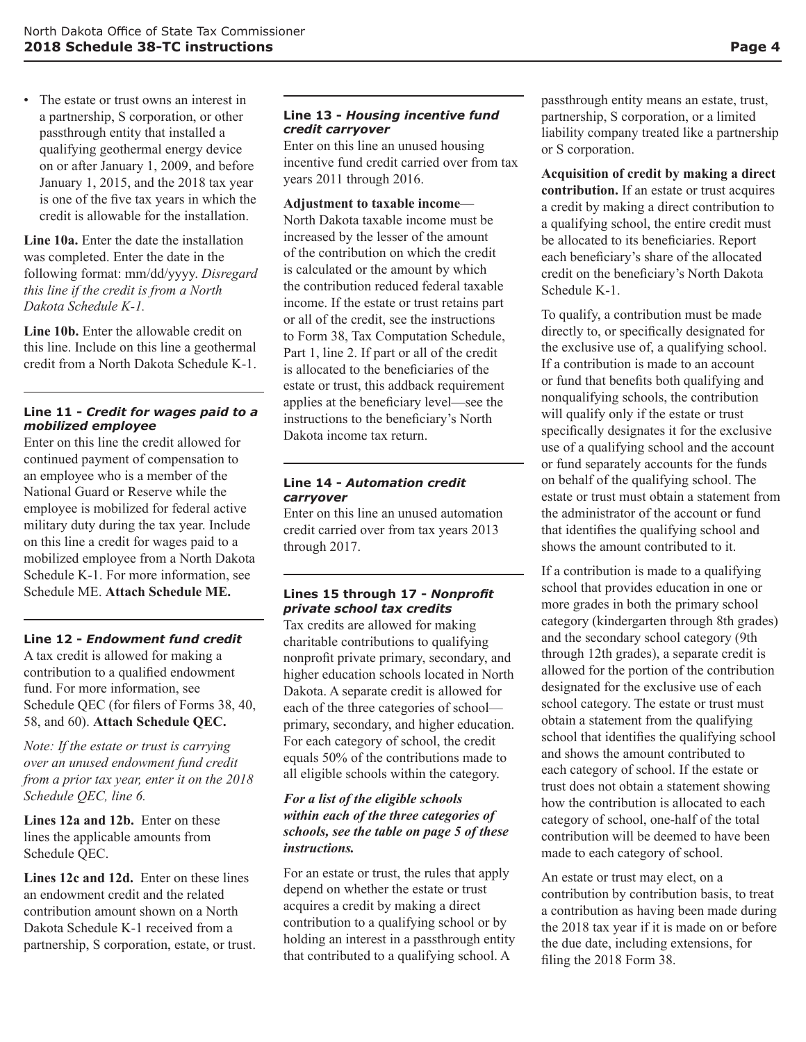• The estate or trust owns an interest in a partnership, S corporation, or other passthrough entity that installed a qualifying geothermal energy device on or after January 1, 2009, and before January 1, 2015, and the 2018 tax year is one of the five tax years in which the credit is allowable for the installation.

**Line 10a.** Enter the date the installation was completed. Enter the date in the following format: mm/dd/yyyy. *Disregard this line if the credit is from a North Dakota Schedule K-1.*

**Line 10b.** Enter the allowable credit on this line. Include on this line a geothermal credit from a North Dakota Schedule K-1.

#### **Line 11 -** *Credit for wages paid to a mobilized employee*

Enter on this line the credit allowed for continued payment of compensation to an employee who is a member of the National Guard or Reserve while the employee is mobilized for federal active military duty during the tax year. Include on this line a credit for wages paid to a mobilized employee from a North Dakota Schedule K-1. For more information, see Schedule ME. **Attach Schedule ME.**

#### **Line 12 -** *Endowment fund credit*

A tax credit is allowed for making a contribution to a qualified endowment fund. For more information, see Schedule QEC (for filers of Forms 38, 40, 58, and 60). **Attach Schedule QEC.**

*Note: If the estate or trust is carrying over an unused endowment fund credit from a prior tax year, enter it on the 2018 Schedule QEC, line 6.*

Lines 12a and 12b. Enter on these lines the applicable amounts from Schedule QEC.

**Lines 12c and 12d.** Enter on these lines an endowment credit and the related contribution amount shown on a North Dakota Schedule K-1 received from a partnership, S corporation, estate, or trust.

#### **Line 13 -** *Housing incentive fund credit carryover*

Enter on this line an unused housing incentive fund credit carried over from tax years 2011 through 2016.

#### **Adjustment to taxable income**—

North Dakota taxable income must be increased by the lesser of the amount of the contribution on which the credit is calculated or the amount by which the contribution reduced federal taxable income. If the estate or trust retains part or all of the credit, see the instructions to Form 38, Tax Computation Schedule, Part 1, line 2. If part or all of the credit is allocated to the beneficiaries of the estate or trust, this addback requirement applies at the beneficiary level—see the instructions to the beneficiary's North Dakota income tax return.

#### **Line 14 -** *Automation credit carryover*

Enter on this line an unused automation credit carried over from tax years 2013 through 2017.

#### **Lines 15 through 17 -** *Nonprofit private school tax credits*

Tax credits are allowed for making charitable contributions to qualifying nonprofit private primary, secondary, and higher education schools located in North Dakota. A separate credit is allowed for each of the three categories of school primary, secondary, and higher education. For each category of school, the credit equals 50% of the contributions made to all eligible schools within the category.

#### *For a list of the eligible schools within each of the three categories of schools, see the table on page 5 of these instructions.*

For an estate or trust, the rules that apply depend on whether the estate or trust acquires a credit by making a direct contribution to a qualifying school or by holding an interest in a passthrough entity that contributed to a qualifying school. A

passthrough entity means an estate, trust, partnership, S corporation, or a limited liability company treated like a partnership or S corporation.

**Acquisition of credit by making a direct contribution.** If an estate or trust acquires a credit by making a direct contribution to a qualifying school, the entire credit must be allocated to its beneficiaries. Report each beneficiary's share of the allocated credit on the beneficiary's North Dakota Schedule K-1.

To qualify, a contribution must be made directly to, or specifically designated for the exclusive use of, a qualifying school. If a contribution is made to an account or fund that benefits both qualifying and nonqualifying schools, the contribution will qualify only if the estate or trust specifically designates it for the exclusive use of a qualifying school and the account or fund separately accounts for the funds on behalf of the qualifying school. The estate or trust must obtain a statement from the administrator of the account or fund that identifies the qualifying school and shows the amount contributed to it.

If a contribution is made to a qualifying school that provides education in one or more grades in both the primary school category (kindergarten through 8th grades) and the secondary school category (9th through 12th grades), a separate credit is allowed for the portion of the contribution designated for the exclusive use of each school category. The estate or trust must obtain a statement from the qualifying school that identifies the qualifying school and shows the amount contributed to each category of school. If the estate or trust does not obtain a statement showing how the contribution is allocated to each category of school, one-half of the total contribution will be deemed to have been made to each category of school.

An estate or trust may elect, on a contribution by contribution basis, to treat a contribution as having been made during the 2018 tax year if it is made on or before the due date, including extensions, for filing the 2018 Form 38.